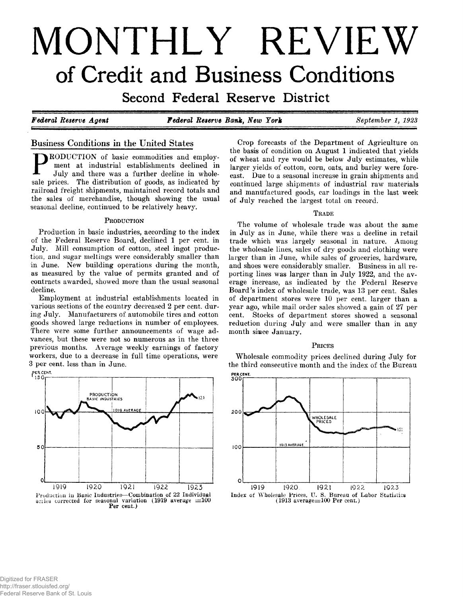# **MONTHLY REVIEW** of Credit and Business Conditions

Second Federal Reserve District

*Federal Reserve Agent Federal Reserve Bank, New York September 1, 1923*

# **Business Conditions in the United States**

RODUCTION of basic commodities and employment at industrial establishments declined in July and there was a further decline in wholesale prices. The distribution of goods, as indicated by railroad freight shipments, maintained record totals and the sales of merchandise, though showing the usual seasonal decline, continued to be relatively heavy.

#### PRODUCTION

Production in basic industries, according to the index of the Federal Reserve Board, declined 1 per cent, in July. Mill consumption of cotton, steel ingot production, and sugar meltings were considerably smaller than in June. New building operations during the month, as measured by the value of permits granted and of contracts awarded, showed more than the usual seasonal decline.

Employment at industrial establishments located in various sections of the country decreased 2 per cent, during July. Manufacturers of automobile tires and cotton goods showed large reductions in number of employees. There were some further announcements of wage advances, but these were not so numerous as in the three previous months. Average weekly earnings of factory workers, due to a decrease in full time operations, were 3 per cent, less than in June.



Crop forecasts of the Department of Agriculture on the basis of condition on August 1 indicated that yields of wheat and rye would be below July estimates, while larger yields of cotton, corn, oats, and barley were forecast. Due to a seasonal increase in grain shipments and continued large shipments of industrial raw materials and manufactured goods, car loadings in the last week of July reached the largest total on record.

#### **T rade**

The volume of wholesale trade was about the same in July as in June, while there was a decline in retail trade which was largely seasonal in nature. Among the wholesale lines, sales of dry goods and clothing were larger than in June, while sales of groceries, hardware, and shoes were considerably smaller. Business in all reporting lines was larger than in July 1922, and the average increase, as indicated by the Federal Reserve Board's index of wholesale trade, was 13 per cent. Sales of department stores were 10 per cent, larger than a year ago, while mail order sales showed a gain of 27 per cent. Stocks of department stores showed a seasonal reduction during July and were smaller than in any month since January.

#### **P rices**

Wholesale commodity prices declined during July for the third consecutive month and the index of the Bureau

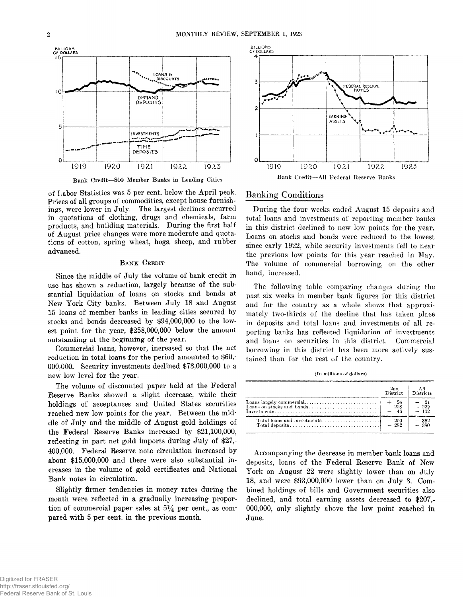

**Bank Credit—800 Member Banks in Leading Cities**

of Labor Statistics was 5 per cent, below the April peak. Prices of all groups of commodities, except house furnishings, were lower in July. The largest declines occurred in quotations of clothing, drugs and chemicals, farm products, and building materials. During the first half of August price changes were more moderate and quotations of cotton, spring wheat, hogs, sheep, and rubber advanced.

#### **BANK CREDIT**

Since the middle of July the volume of bank credit in use has shown a reduction, largely because of the substantial liquidation of loans on stocks and bonds at New York City banks. Between July 18 and August 15 loans of member banks in leading cities secured by stocks and bonds decreased by \$94,000,000 to the lowest point for the year, \$258,000,000 below the amount outstanding at the beginning of the year.

Commercial loans, however, increased so that the net reduction in total loans for the period amounted to \$60,- 000,000. Security investments declined \$73,000,000 to a new low level for the year.

The volume of discounted paper held at the Federal Reserve Banks showed a slight decrease, while their holdings of acceptances and United States securities reached new low points for the year. Between the middle of July and the middle of August gold holdings of the Federal Reserve Banks increased by \$21,100,000, reflecting in part net gold imports during July of \$27,- 400,000. Federal Reserve note circulation increased by about \$15,000,000 and there were also substantial increases in the volume of gold certificates and National Bank notes in circulation.

Slightly firmer tendencies in money rates during the month were reflected in a gradually increasing proportion of commercial paper sales at  $5\frac{1}{4}$  per cent., as compared with 5 per cent, in the previous month.



#### **Banking Conditions**

During the four weeks ended August 15 deposits and total loans and investments of reporting member banks in this district declined to new low points for the year. Loans on stocks and bonds were reduced to the lowest since early 1922, while security investments fell to near the previous low points for this year reached in May. The volume of commercial borrowing, on the other hand, increased.

The following table comparing changes during the past six weeks in member bank figures for this district and for the country as a whole shows that approximately two-thirds of the decline that has taken place in deposits and total loans and investments of all reporting banks has reflected liquidation of investments and loans on securities in this district. Commercial borrowing in this district has been more actively sustained than for the rest of the country.

|  | (In millions of dollars) |  |  |
|--|--------------------------|--|--|
|  |                          |  |  |

| 2rd<br><b>District</b>        | – All<br>Districts        |
|-------------------------------|---------------------------|
| $+$ $\frac{24}{228}$<br>$-46$ | $-21$<br>$-223$<br>$-102$ |
| $-250$<br>$-282$              | $-352$<br>$-380$          |

Accompanying the decrease in member bank loans and deposits, loans of the Federal Reserve Bank of New York on August 22 were slightly lower than on July 18, and were \$93,000,000 lower than on July 3. Combined holdings of bills and Government securities also declined, and total earning assets decreased to \$207,- 000,000, only slightly above the low point reached in June.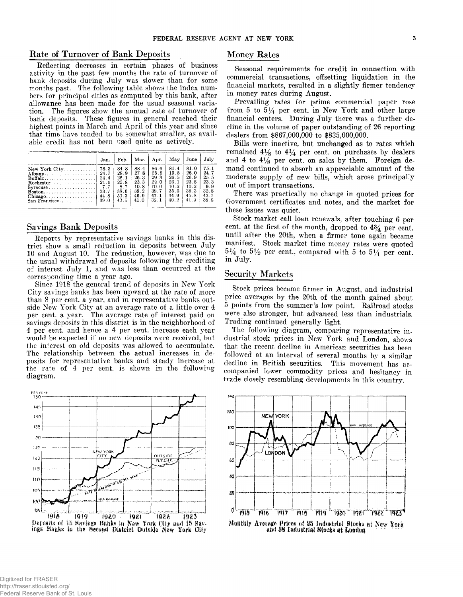#### **Rate of Turnover of Bank Deposits**

**Reflecting decreases in certain phases of business activity in the past few months the rate of turnover of bank deposits during July was slower than for some months past. The following table shows the index numbers for principal cities as computed by this bank, after allowance has been made for the usual seasonal variation. The figures show the annual rate of turnover of bank deposits. These figures in general reached their highest points in March and April of this year and since that time have tended to be somewhat smaller, as available credit has not been used quite as actively.**

|                                                                                                                                                           | Jan.                                 | Feb.                                                        | Mar.                                                         | Apr.                                                                    | May                                                          | June                                                         | July                                                        |
|-----------------------------------------------------------------------------------------------------------------------------------------------------------|--------------------------------------|-------------------------------------------------------------|--------------------------------------------------------------|-------------------------------------------------------------------------|--------------------------------------------------------------|--------------------------------------------------------------|-------------------------------------------------------------|
| New York $City$<br>$\text{Buffalo} \dots \dots \dots \dots \dots \dots$<br>Rochester<br>$Syracuse$<br>$\text{Boston} \dots \dots \dots \dots \dots \dots$ | 78.3<br>24.4<br>-21.6<br>7.7<br>33.7 | 84.8<br>28.9<br>26.1<br>22.8<br>8.7<br>38.0<br>50.3<br>40.5 | 88.4<br>27.8<br>26.3<br>23.3<br>10.8<br>39.2<br>46.9<br>41 0 | 86.6<br>25.5<br>29.3<br>22 <sub>0</sub><br>10.0<br>39.7<br>47.1<br>38.1 | 81.4<br>19.5<br>26.5<br>23.1<br>10.3<br>35.5<br>44.9<br>40.2 | 81.0<br>26.0<br>26.9<br>23.8<br>10.3<br>36.3<br>45.8<br>41.9 | 75.1<br>24.7<br>25.5<br>23.3<br>9.9<br>32.8<br>43.7<br>38.8 |

#### **Savings Bank Deposits**

**Reports by representative savings banks in this district show a small reduction in deposits between July 10 and August 10. The reduction, however, was due to the usual withdrawal of deposits following the crediting of interest July 1, and was less than occurred at the corresponding time a year ago.**

**Since 1918 the general trend of deposits in New York City savings banks has been upward at the rate of more than 8 per cent, a year, and in representative banks outside New York City at an average rate of a little over 4 per cent, a year. The average rate of interest paid on savings deposits in this district is in the neighborhood of 4 per cent, and hence a 4 per cent, increase each year would be expected if no new deposits were received, but the interest on old deposits was allowed to accumulate. The relationship between the actual increases in deposits for representative banks and steady increase at the rate of 4 per cent, is shown in the following diagram.**





# **Money Rates**

**Seasonal requirements for credit in connection with commercial transactions, offsetting liquidation in the financial markets, resulted in a slightly firmer tendency in money rates during August.**

**Prevailing rates for prime commercial paper rose** from 5 to  $5\frac{1}{4}$  per cent, in New York and other large **financial centers. During July there was a further decline in the volume of paper outstanding of 26 reporting dealers from \$867,000,000 to \$835,000,000.**

**Bills were inactive, but unchanged as to rates which** remained  $4\frac{1}{8}$  to  $4\frac{1}{4}$  per cent, on purchases by dealers and 4 to  $4\frac{1}{8}$  per cent, on sales by them. Foreign de**mand continued to absorb an appreciable amount of the moderate supply of new bills, which arose principally out of import transactions.**

**There was practically no change in quoted prices for Government certificates and notes, and the market for these issues was quiet.**

**Stock market call loan renewals, after touching 6 per cent, at the first of the month, dropped to** *4%* **per cent, until after the 20th, when a firmer tone again became manifest. Stock market time money rates were quoted**  $5\frac{1}{4}$  to  $5\frac{1}{2}$  per cent., compared with 5 to  $5\frac{1}{4}$  per cent. **in July.**

# **Security Markets**

**Stock prices became firmer in August, and industrial price averages by the 20th of the month gained about 5 points from the summer's low point. Railroad stocks were also stronger, but advanced less than industrials. Trading continued generally light.**

**The following diagram, comparing representative industrial stock prices in New York and London, shows that the recent decline in American securities has been followed at an interval of several months by a similar decline in British securities. This movement has accompanied lower commodity prices and hesitancy in trade closely resembling developments in this country.**



and 38 Industrial Stocks at London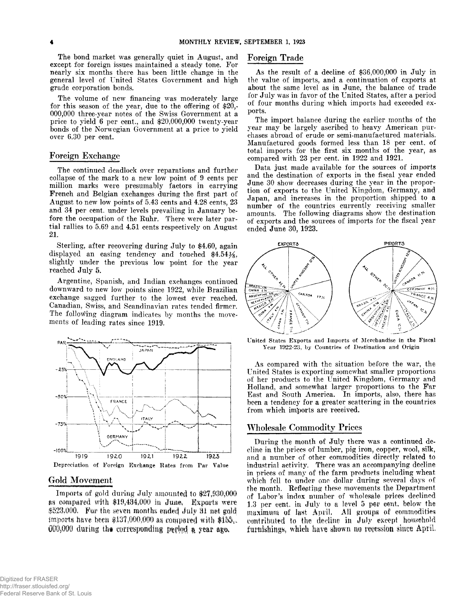**The bond market was generally quiet in August, and except for foreign issues maintained a steady tone. For nearly six months there has been little change in the general level of United States Government and high grade corporation bonds.**

**The volume of new financing was moderately large for this season of the year, due to the offering of \$20,- 000,000 three-year notes of the Swiss Government at a price to yield 6 per cent., and \$20,000,000 twenty-year bonds of the Norwegian Government at a price to yield over 6.30 per cent.**

#### **Foreign Exchange**

**The continued deadlock over reparations and further collapse of the mark to a new low point of 9 cents per million marks were presumably factors in carrying French and Belgian exchanges during the first part of August to new low points of 5.43 cents and 4.28 cents, 23 and 34 per cent, under levels prevailing in January before the occupation of the Ruhr. There were later partial rallies to 5.69 and 4.51 cents respectivelv on August 21.**

**Sterling, after recovering during July to \$4.60, again displayed an easing tendency and touched \$4.54%, slightly under the previous low point for the year reached July 5.**

**Argentine, Spanish, and Indian exchanges continued downward to new low points since 1922, while Brazilian exchange sagged further to the lowest ever reached. Canadian, Swiss, and Scandinavian rates tended firmer. The following diagram indicates by months the movements of leading rates since 1919.**



#### **Gold Movement**

**Imports of gold during July amounted to \$27,930,000** *m* **compared with \$19,434,900 m June, Exports were** \$523,000. For the seven months ended July 31 net gold imports have been  $$137,000,000$  as compared with  $$155$ . **000,000 during the corresponding period a year ago.** 

# **Foreign Trade**

**As the result of a decline of \$36,000,000 in July in the value of imports, and a continuation of exports at about the same level as in June, the balance of trade for July was in favor of the United States, after a period of four months during which imports had exceeded exports.**

**The import balance during the earlier months of the year may be largely ascribed to heavy American purchases abroad of crude or semi-manufactured materials. Manufactured goods formed less than 18 per cent, of total imports for the first six months of the year, as compared with 23 per cent, in 1922 and 1921.**

**Data just made available for the sources of imports and the destination of exports in the fiscal year ended June 30 show decreases during the year in the proportion of exports to the United Kingdom, Germany, and Japan, and increases in the proportion shipped to a number of the countries currently receiving smaller amounts. The following diagrams show the destination of exports and the sources of imports for the fiscal year ended June 30, 1923.**



United States Exports and Imports of Merchandise in the Fiscal Year 1922-23, by Countries of Destination and Origin

**As compared with the situation before the war, the United States is exporting somewhat smaller proportions of her products to the United Kingdom, Germany and Holland, and somewhat larger proportions to the Far East and South America. In imports, also, there has been a tendency for a greater scattering in the countries from which imports are received.**

#### **Wholesale Commodity Prices**

**During the month of July there was a continued decline in the prices of lumber, pig iron, copper, wool, silk, and a number of other commodities directly related to industrial activity. There was an accompanying decline in prices of many of the farm products including wheat which fell to under one dollar during several days of the month. Refleptijig these movements the Department of Labor's index number of wholesale prices declined 1.3 per cent, in July to a level 5 per eerit. below the maximum of last April, AH groups of commodities** contributed to the decline in July except household furnishings, which have shown no recession since April.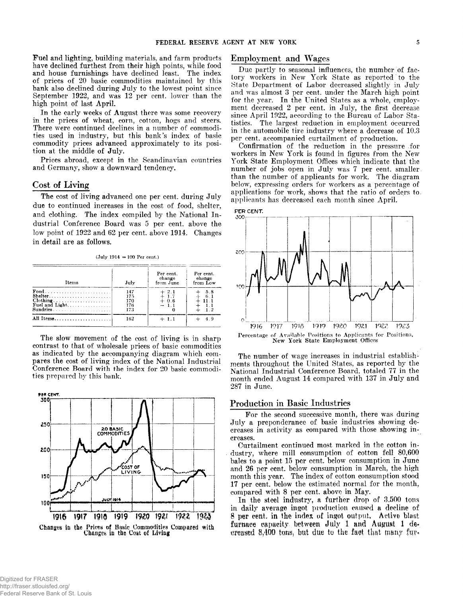**Fuel and lighting, building materials, and farm products have declined furthest from their high points, while food and house furnishings have declined least. The index of prices of 20 basic commodities maintained by this bank also declined during July to the lowest point since September 1922, and was 12 per cent, lower than the high point of last April.**

**In the early weeks of August there was some recovery in the prices of wheat, corn, cotton, hogs and steers. There were continued declines in a number of commodities used in industry, but this bank's index of basic commodity prices advanced approximately to its position at the middle of July.**

**Prices abroad, except in the Scandinavian countries and Germany, show a downward tendency.**

#### **Cost of Living**

**The cost of living advanced one per cent, during July due to continued increases in the cost of food, shelter, and clothing. The index compiled by the National Industrial Conference Board was 5 per cent, above the low point of 1922 and 62 per cent, above 1914. Changes in detail are as follows.**

 $(July 1914 = 100 Per cent.)$ 

| Items                     | July                            | Per cent.<br>change<br>from June | Per cent.<br>change<br>from Low |
|---------------------------|---------------------------------|----------------------------------|---------------------------------|
| Shelter<br>Fuel and Light | 147<br>175<br>170<br>176<br>173 | $+2.1$<br>$+0.6$<br>$-1.1$       | 5.8                             |
| All Items                 | 162                             | $+1.1$                           |                                 |

**The slow movement of the cost of living is in sharp contrast to that of wholesale prices of basic commodities as indicated by the accompanying diagram which compares the cost of living index of the National Industrial Conference Board with the index for 20 basic commodities prepared by this bank.**



# **Employment and Wages**

**Due partly to seasonal influences, the number of factory workers in New York State as reported to the State Department of Labor decreased slightly in July and was almost 3 per cent, under the March high point for the year. In the United States as a whole, employment decreased 2 per cent, in July, the first decrease since April 1922, according to the Bureau of Labor Statistics. The largest reduction in employment occurred in the automobile tire industry where a decrease of 10.3 per cent, accompanied curtailment of production.**

**Confirmation of the reduction in the pressure for workers in New York is found in figures from the New York State Employment Offices which indicate that the number of jobs open in July was 7 per cent, smaller, than the number of applicants for work. The diagram below, expressing orders for workers as a percentage of applications for work, shows that the ratio of orders to. applicants has decreased each month since April.**





**The number of wage increases in industrial establishments throughout the United States, as reported by the National Industrial Conference Board, totaled 77 in the month ended August 14 compared with 137 in July and 287 in June.**

#### **Production in Basic Industries**

**For the second successive month, there was during July a preponderance of basic industries showing decreases in activity as compared with those showing increases.**

**Curtailment continued most marked in the cotton industry, where mill consumption of cotton fell 80,600 bales to a point 15 per cent, below consumption in June and 26 per cent, below consumption in March, the high month this year. The index of cotton consumption stood 17 per cent, below the estimated normal for the month, compared with 8 per cent, above in May.**

**In the steel industry, a further drop of 3,500 tons in daily average ingot production caused a decline of 8 per cent, in the index of ingot output, Active blast** furnace capacity between July 1 and August 1 de**creased 8,400 tons, but due to the faot that many fu?<**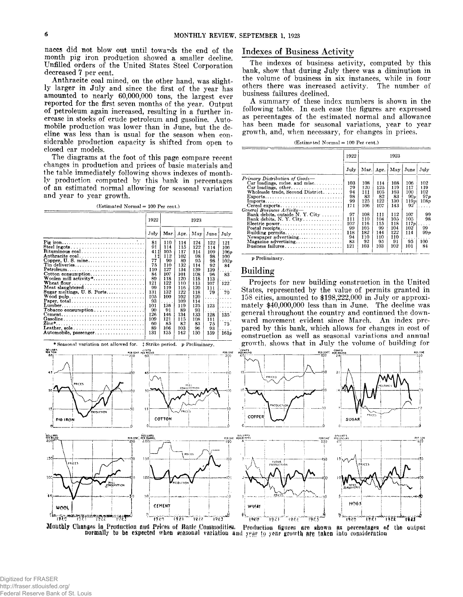**naces did not blow out until towards the end of the month pig iron production showed a smaller decline. Unfilled orders of the United States Steel Corporation decreased 7 per cent.**

**Anthracite coal mined, on the other hand, was slightly larger in July and since the first of the year has amounted to nearly 60,000,000 tons, the largest ever reported for the first seven months of the year. Output of petroleum again increased, resulting in a further increase in stocks of crude petroleum and gasoline. Automobile production was lower than in June, but the decline was less than is usual for the season when considerable production capacity is shifted from open to closed car models.**

**The diagrams at the foot of this page compare recent changes in production and prices of basic materials and the table immediately following shows indexes of monthly production computed by this bank in percentages of an estimated normal allowing for seasonal variation and year to year growth.**

(Estimated Normal = 100 Per cent.)

|                                                                                | 1922 | 1923 |      |     |         |             |  |
|--------------------------------------------------------------------------------|------|------|------|-----|---------|-------------|--|
|                                                                                | July | Mar. | Apr. | May | June    | July        |  |
|                                                                                | 81   | 110  | 114  | 124 | 122     | 121         |  |
| Steel ingots                                                                   | 91   | 114  | 115  | 122 | 114     | 106         |  |
| Bituminous $\text{coal.} \ldots \ldots \ldots \ldots \ldots \ldots$            | 41 t | 105  | 117  | 114 | 109     | 106p        |  |
| Anthracite coal                                                                | 11   | 112  | 102  | 98  | 98      | 100         |  |
|                                                                                | 77   | 90   | 89   | 95  | 98      | 102p        |  |
| Tin deliveries                                                                 | 75   | 110  | 132  | 114 | 92      | 84          |  |
| Petroleum                                                                      | 110  | 127  | 134  | 139 | 139     |             |  |
| $\text{Cottom consumption} \dots \dots \dots \dots \dots \dots$                | 84   | 107  | 101  | 108 | 96      | 83          |  |
| Woolen mill activity*                                                          | 89   | 118  | 120  | 118 | 113     |             |  |
|                                                                                | 121  | 122  | 110  | 113 | 107     | 122         |  |
| Meat slaughtered                                                               | 99   | 119  | 116  | 120 | 111     |             |  |
| Sugar meltings, U. S. Ports                                                    | 131  | 132  | 122  | 118 | 79      | 70          |  |
| Wood pulp                                                                      | 105  | 100  | 102  | 120 | 1.1.1.1 | and a state |  |
| Paper, total                                                                   | 93   | .    | 109  | 114 | 1.1.1.1 | .           |  |
| Lumber                                                                         | 101  | 136  | 119  | 125 | 123     | .           |  |
| $Tobacco$ consumption                                                          | 90   | 91   | 89   | 93  |         |             |  |
| $\mathbf{Cement.}\dots\dots\dots\dots\dots\dots\dots\dots\dots\dots\dots\dots$ | 126  | 146  | 134  | 133 | 128     | 135         |  |
| Gasoline                                                                       | 109  | 121  | 115  | 108 | 111     |             |  |
| Zinc*                                                                          | 60   | 85   | 82   | 83  | 75      | 75          |  |
| Leather, sole                                                                  | 89   | 106  | 103  | 96  | 93      |             |  |
| Automobile necessary                                                           | 121  | 125  | 149  | 150 | 150     | 101.        |  |





# **Indexes of Business Activity**

**The indexes of business activity, computed by this** bank, show that during July there was a diminution in **the volume of business in six instances, while in four others there was increased activity. The number of business failures declined.**

**A summary of these index numbers is shown in the following table. In each case the figures are expressed as percentages of the estimated normal and allowance has been made for seasonal variations, year to year growth, and, when necessary, for changes in prices.**

(Estimated Normal = 100 Per cent.)

|                                                                             | 1922 |      |      | 1923 |                         |      |  |  |  |
|-----------------------------------------------------------------------------|------|------|------|------|-------------------------|------|--|--|--|
|                                                                             | July | Mar. | Apr. | May  | June                    | July |  |  |  |
| Primary Distribution of Goods-                                              |      |      |      |      |                         |      |  |  |  |
| Car loadings, mdse. and misc                                                | 103  | 108  | 114  | 108  | 106                     | 102  |  |  |  |
| Car loadings, other                                                         | 79   | 120  | 125  | 119  | 117                     | 119  |  |  |  |
| Wholesale trade, Second District                                            | 94   | 111  | 105  | 103  | 100                     | 102  |  |  |  |
| $Express \dots \dots \dots \dots \dots \dots \dots \dots \dots \dots \dots$ | 98   | 83   | 82   | 83   | $90\nu$                 | 97p  |  |  |  |
| Imports                                                                     | 99   | 125  | 122  | 130  | 119p                    | 108p |  |  |  |
| Cereal exports                                                              | 171  | 106  | 107  | 143  | 92                      |      |  |  |  |
| General Business Activity-                                                  |      |      |      |      |                         |      |  |  |  |
| Bank debits, outside N.Y. City                                              | 97   | 108  | 111  | 112  | 107                     | 99   |  |  |  |
| Bank debits, N. Y. City                                                     | 111  | 110  | 104  | 105  | 105                     | 98   |  |  |  |
| Electric power                                                              | 102  | 116  | 115  | 118  | 117p                    | .    |  |  |  |
| Postal receipts                                                             | 99   | 105  | 99   | 104  | 102                     | 99   |  |  |  |
| Building permits                                                            | 118  | 182  | 144  | 122  | 114                     | 99 p |  |  |  |
| Newspaper advertising                                                       | 94   | 110  | 110  | 110  | $\cdot$ $\cdot$ $\cdot$ |      |  |  |  |
| Magazine advertising                                                        | 83   | 92   | 95   | 91   | 95                      | 100  |  |  |  |
| Business failures                                                           | 121  | 103  | 103  | 102  | 101                     | 84   |  |  |  |

*p* Preliminary.

#### **Building**

**Projects for new building construction in the United States, represented by the value of permits granted in 158 cities, amounted to \$198,222,000 in July or approximately \$40,000,000 less than in June. The decline was general throughout the country and continued the downward movement evident since March. An index prepared by this bank, which allows for changes in cost of construction as well as seasonal variations and annual growth, show^s that in July the volume of building for**



WHEAT *<sup>J</sup>* **ft 19\*\*1 ' '19\***  $19.7<sup>2</sup>$ 



7875

HOG:

ិវិទិភិកិ

v,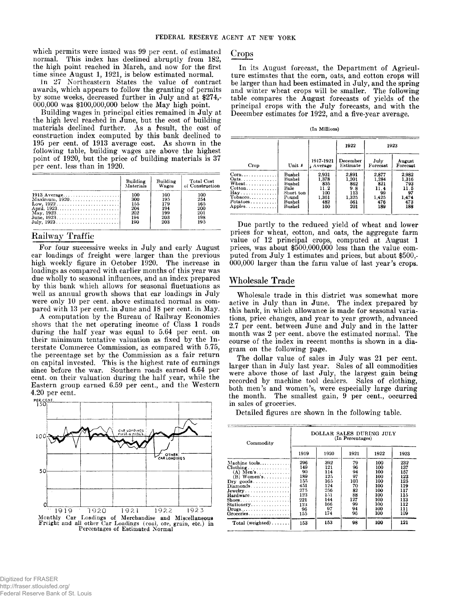**which permits were issued was 99 per cent, of estimated normal. This index has declined abruptly from 182, the high point reached in March, and now for the first time since August 1, 1921, is below estimated normal.**

**In 27 Northeastern States the value of contract awards, which appears to follow the granting of permits by some weeks, decreased further in July and at \$274,- 000,000 was \$100,000,000 below the May high point.**

**Building wages in principal cities remained in July at the high level reached in June, but the cost of building materials declined further. As a fesult, the cost of construction index computed by this bank declined to 195 per cent, of 1913 average cost. As shown in the following table, building wages are above the highest point of 1920, but the price of building materials is 37 per cent, less than in 1920.**

|                                                        | Building  | Building | <b>Total Cost</b> |
|--------------------------------------------------------|-----------|----------|-------------------|
|                                                        | Materials | Wages    | of Construction   |
|                                                        | 100       | 100      | 100               |
| Maximum, 1920                                          | 300       | 195      | 254               |
| Low, $1922$                                            | 155       | 179      | 165               |
|                                                        | 204       | 194      | 200               |
| $\text{May, } 1923 \ldots \ldots \ldots \ldots \ldots$ | 202       | 199      | 201               |
|                                                        | 194       | 203      | 198               |
|                                                        | 190       | 203      | 195               |

# **Railway Traffic**

**For four successive weeks in July and early August car loadings of freight were larger than the previous high weekly figure in October 1920. The increase in loadings as compared with earlier months of this year was due wholly to seasonal influences, and an index prepared by this bank which allows for seasonal fluctuations as well as annual growth shows that car loadings in July were only 10 per cent, above estimated normal as compared with 13 per cent, in June and 18 per cent, in May.**

**A computation by the Bureau of Railway Economics shows that the net operating income of Class 1 roads during the half year was equal to 5.64 per cent, on their minimum tentative valuation as fixed by the Interstate Commerce Commission, as compared with 5.75, the percentage set by the Commission as a fair return on capital invested. This is the highest rate of earnings since before the war. Southern roads earned 6.64 per cent, on their valuation during the half year, while the Eastern group earned 6.59 per cent., and the Western 4.20 per cent.**



# **Crops**

**In its August forecast, the Department of Agriculture estimates that the corn, oats, and cotton crops will be larger than had been estimated in July, and the spring and winter wheat crops will be smaller. The following table compares the August forecasts of yields of the principal crops with the July forecasts, and with the December estimates for 1922, and a five-year average.**

(In Millions)

|                                                                                                                                       |                                                                              |                                                             | 1922                                                       |                                                            | 1923                                                       |
|---------------------------------------------------------------------------------------------------------------------------------------|------------------------------------------------------------------------------|-------------------------------------------------------------|------------------------------------------------------------|------------------------------------------------------------|------------------------------------------------------------|
| Crop                                                                                                                                  | Unit 4                                                                       | 1917-1921<br>Average                                        | December<br>Estimate                                       | July<br>Forecast                                           | August<br>Forecast                                         |
| $Corn \ldots \ldots$<br>$Oats$<br>Wheat<br>$\mathbf{Cotton} \dots \dots \dots$<br>$\mathbf{Hay}$<br>Tobacco<br>Potatoes 1<br>$Apples$ | Bushel<br>Bushel<br>Bushel<br>Bale<br>Short ton<br>Pound<br>Bushel<br>Bushel | 2.931<br>1.378<br>835<br>11.2<br>100<br>1.361<br>482<br>160 | 2.891<br>1.201<br>862<br>9.8<br>113<br>1,325<br>561<br>201 | 2,877<br>1.284<br>821<br>11.4<br>99<br>1,425<br>476<br>189 | 2.982<br>1,316<br>793<br>11.5<br>97<br>1,474<br>473<br>188 |

**Due partly to the reduced yield of wheat and lower prices for wheat, cotton, and oats, the aggregate farm value of 12 principal crops, computed at August 1 prices, was about \$500,000,000 less than the value computed from July 1 estimates and prices, but about \$500,- 000,000 larger than the farm value of last year's crops.**

#### **Wholesale Trade**

**Wholesale trade in this district was somewhat more active in July than in June. The index prepared by this bank, in which allowance is made for seasonal variations, price changes, and year to year growth, advanced 2.7 per cent, between June and July and in the latter month was 2 per cent, above the estimated normal. The course of the index in recent months is shown in a diagram on the following page.**

**The dollar value of sales in July was 21 per cent, larger than in July last year. Sales of all commodities were above those of last July, the largest gain being recorded by machine tool dealers. Sales of clothing, both men's and women's, were especially large during the month. The smallest gain, 9 per cent., occurred in sales of groceries.**

**Detailed figures are shown in the following table.**

| Commodity                                                 | DOLLAR SALES DURING JULY<br>(In Percentages) |      |      |      |      |  |  |  |
|-----------------------------------------------------------|----------------------------------------------|------|------|------|------|--|--|--|
|                                                           | 1919                                         | 1920 | 1921 | 1922 | 1923 |  |  |  |
| Machine tools                                             | 296                                          | 392  | 79   | 100  | 232  |  |  |  |
| $\text{Clothing} \dots \dots \dots \dots \dots$           | 149                                          | 121  | 96   | 100  | 137  |  |  |  |
| $(A)$ Men's                                               | 90                                           | 114  | 94   | 100  | 157  |  |  |  |
| $(B)$ Women's                                             | 189                                          | 125  | 97   | 100  | 123  |  |  |  |
| $\text{Dry}\ \text{ goods}\ldots\ldots\ldots\ldots$       | 155                                          | 165  | 103  | 100  | 125  |  |  |  |
| $Diamonds \ldots \ldots \ldots \ldots$                    | 451                                          | 124  | 70   | 100  | 119  |  |  |  |
| $Jewelry$                                                 | 275                                          | 256  | 82   | 100  | 117  |  |  |  |
| Hardware                                                  | 123                                          | 151  | 88   | 100  | 115  |  |  |  |
| $\text{Shoes.} \dots \dots \dots \dots \dots \dots \dots$ | 221                                          | 144  | 127  | 100  | 113  |  |  |  |
| Stationery                                                | 123                                          | 166  | 99   | 100  | 112  |  |  |  |
|                                                           | 96                                           | 97   | 94   | 100  | 111  |  |  |  |
| $G$ roceries                                              | 155                                          | 174  | 96   | 100  | 109  |  |  |  |
| Total (weighted)                                          | 153                                          | 153  | 98   | 100  | 121  |  |  |  |